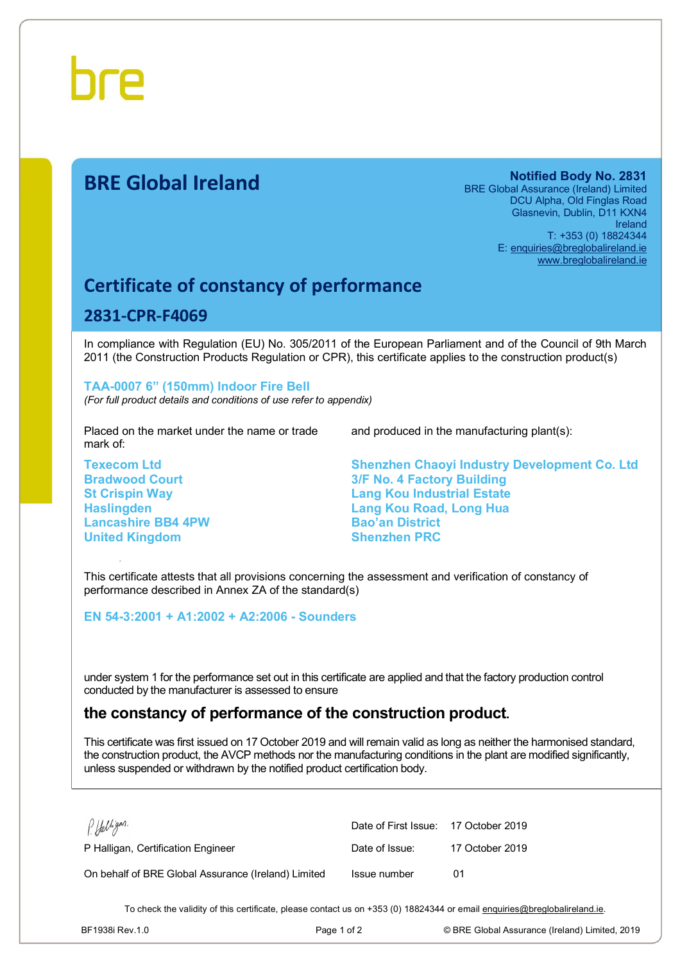

# **BRE Global Ireland Notified Body No. 2831**

BRE Global Assurance (Ireland) Limited DCU Alpha, Old Finglas Road Glasnevin, Dublin, D11 KXN4 Ireland T: +353 (0) 18824344 E: [enquiries@breglobalireland.ie](mailto:enquiries@breglobalireland.ie)  [www.breglobalireland.ie](http://www.breglobalireland.ie)

## **Certificate of constancy of performance**

#### **2831-CPR-F4069**

In compliance with Regulation (EU) No. 305/2011 of the European Parliament and of the Council of 9th March 2011 (the Construction Products Regulation or CPR), this certificate applies to the construction product(s)

#### **TAA-0007 6" (150mm) Indoor Fire Bell**

*(For full product details and conditions of use refer to appendix)* 

Placed on the market under the name or trade mark of:

**Texecom Ltd Bradwood Court St Crispin Way Haslingden Lancashire BB4 4PW United Kingdom** 

and produced in the manufacturing plant(s):

**Shenzhen Chaoyi Industry Development Co. Ltd 3/F No. 4 Factory Building Lang Kou Industrial Estate Lang Kou Road, Long Hua Bao'an District Shenzhen PRC** 

This certificate attests that all provisions concerning the assessment and verification of constancy of performance described in Annex ZA of the standard(s)

**EN 54-3:2001 + A1:2002 + A2:2006 - Sounders** 

under system 1 for the performance set out in this certificate are applied and that the factory production control conducted by the manufacturer is assessed to ensure

### **the constancy of performance of the construction product.**

This certificate was first issued on 17 October 2019 and will remain valid as long as neither the harmonised standard, the construction product, the AVCP methods nor the manufacturing conditions in the plant are modified significantly, unless suspended or withdrawn by the notified product certification body.

| P. Halligan.                                        | Date of First Issue: 17 October 2019 |                 |
|-----------------------------------------------------|--------------------------------------|-----------------|
| P Halligan, Certification Engineer                  | Date of Issue:                       | 17 October 2019 |
| On behalf of BRE Global Assurance (Ireland) Limited | Issue number                         | 01              |

To check the validity of this certificate, please contact us on +353 (0) 18824344 or email [enquiries@breglobalireland.ie](mailto:enquiries@breglobalireland.ie).